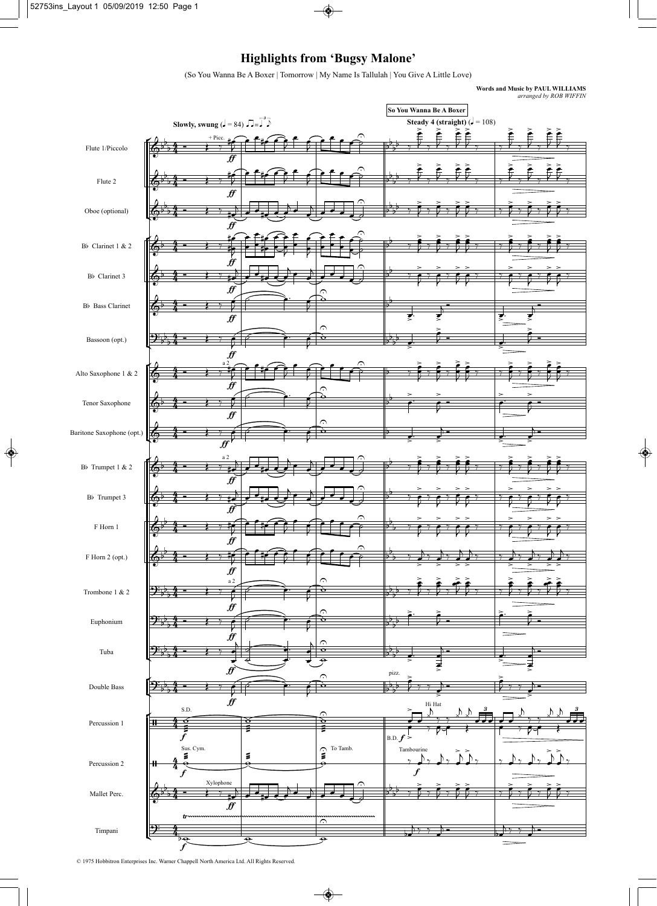## **Highlights from 'Bugsy Malone'**

(So You Wanna Be A Boxer | Tomorrow | My Name Is Tallulah | You Give A Little Love)

Words and Music by PAUL WILLIAMS<br>arranged by ROB WIFFIN

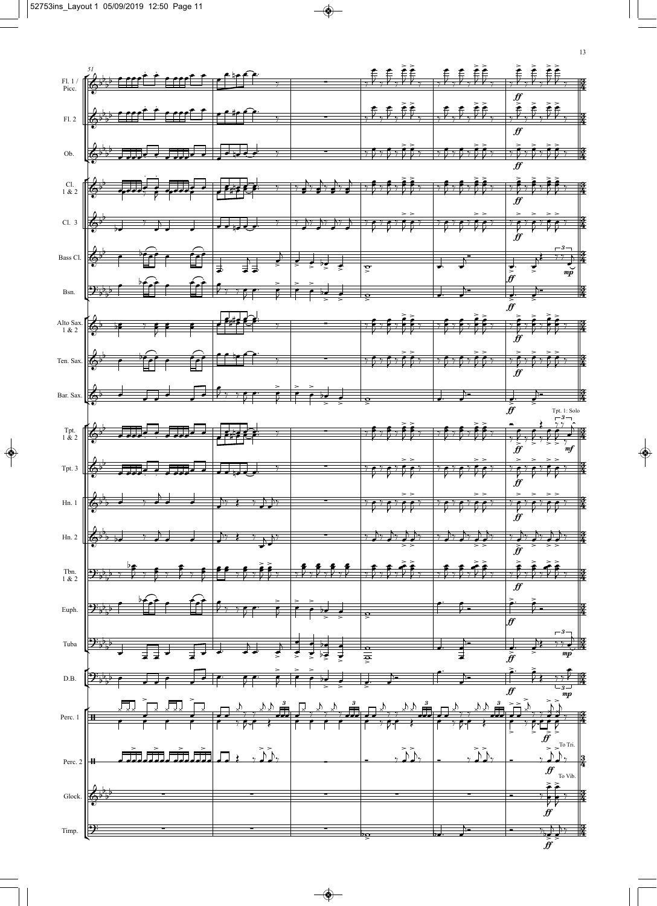